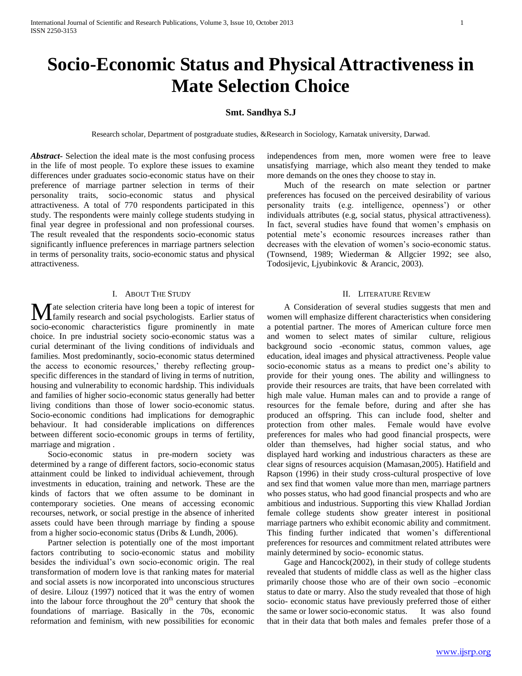# **Socio-Economic Status and Physical Attractiveness in Mate Selection Choice**

## **Smt. Sandhya S.J**

Research scholar, Department of postgraduate studies, &Research in Sociology, Karnatak university, Darwad.

*Abstract***-** Selection the ideal mate is the most confusing process in the life of most people. To explore these issues to examine differences under graduates socio-economic status have on their preference of marriage partner selection in terms of their personality traits, socio-economic status and physical attractiveness. A total of 770 respondents participated in this study. The respondents were mainly college students studying in final year degree in professional and non professional courses. The result revealed that the respondents socio-economic status significantly influence preferences in marriage partners selection in terms of personality traits, socio-economic status and physical attractiveness.

#### I. ABOUT THE STUDY

 $\blacksquare$  ate selection criteria have long been a topic of interest for **M** ate selection criteria have long been a topic of interest for family research and social psychologists. Earlier status of socio-economic characteristics figure prominently in mate choice. In pre industrial society socio-economic status was a curial determinant of the living conditions of individuals and families. Most predominantly, socio-economic status determined the access to economic resources,' thereby reflecting groupspecific differences in the standard of living in terms of nutrition, housing and vulnerability to economic hardship. This individuals and families of higher socio-economic status generally had better living conditions than those of lower socio-economic status. Socio-economic conditions had implications for demographic behaviour. It had considerable implications on differences between different socio-economic groups in terms of fertility, marriage and migration .

 Socio-economic status in pre-modern society was determined by a range of different factors, socio-economic status attainment could be linked to individual achievement, through investments in education, training and network. These are the kinds of factors that we often assume to be dominant in contemporary societies. One means of accessing economic recourses, network, or social prestige in the absence of inherited assets could have been through marriage by finding a spouse from a higher socio-economic status (Dribs & Lundh, 2006).

 Partner selection is potentially one of the most important factors contributing to socio-economic status and mobility besides the individual's own socio-economic origin. The real transformation of modern love is that ranking mates for material and social assets is now incorporated into unconscious structures of desire. Lilouz (1997) noticed that it was the entry of women into the labour force throughout the  $20<sup>th</sup>$  century that shook the foundations of marriage. Basically in the 70s, economic reformation and feminism, with new possibilities for economic

independences from men, more women were free to leave unsatisfying marriage, which also meant they tended to make more demands on the ones they choose to stay in.

 Much of the research on mate selection or partner preferences has focused on the perceived desirability of various personality traits (e.g. intelligence, openness') or other individuals attributes (e.g, social status, physical attractiveness). In fact, several studies have found that women's emphasis on potential mete's economic resources increases rather than decreases with the elevation of women's socio-economic status. (Townsend, 1989; Wiederman & Allgcier 1992; see also, Todosijevic, Ljyubinkovic & Arancic, 2003).

#### II. LITERATURE REVIEW

 A Consideration of several studies suggests that men and women will emphasize different characteristics when considering a potential partner. The mores of American culture force men and women to select mates of similar culture, religious background socio -economic status, common values, age education, ideal images and physical attractiveness. People value socio-economic status as a means to predict one's ability to provide for their young ones. The ability and willingness to provide their resources are traits, that have been correlated with high male value. Human males can and to provide a range of resources for the female before, during and after she has produced an offspring. This can include food, shelter and protection from other males. Female would have evolve preferences for males who had good financial prospects, were older than themselves, had higher social status, and who displayed hard working and industrious characters as these are clear signs of resources acquision (Mamasan,2005). Hatifield and Rapson (1996) in their study cross-cultural prospective of love and sex find that women value more than men, marriage partners who posses status, who had good financial prospects and who are ambitious and industrious. Supporting this view Khallad Jordian female college students show greater interest in positional marriage partners who exhibit economic ability and commitment. This finding further indicated that women's differentional preferences for resources and commitment related attributes were mainly determined by socio- economic status.

 Gage and Hancock(2002), in their study of college students revealed that students of middle class as well as the higher class primarily choose those who are of their own socio –economic status to date or marry. Also the study revealed that those of high socio- economic status have previously preferred those of either the same or lower socio-economic status. It was also found that in their data that both males and females prefer those of a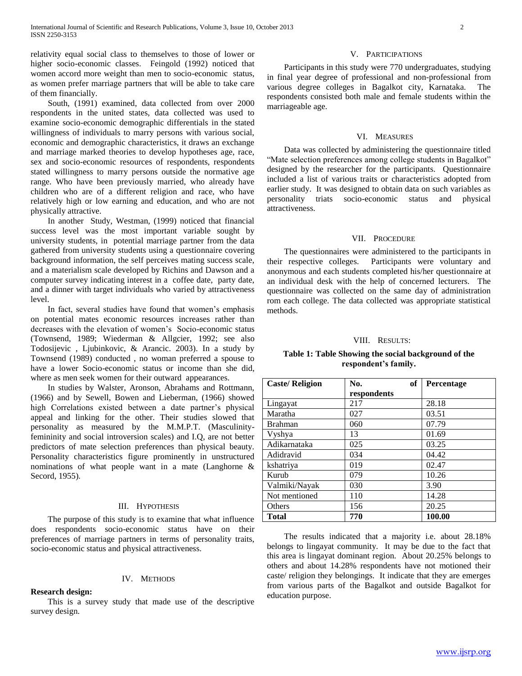relativity equal social class to themselves to those of lower or higher socio-economic classes. Feingold (1992) noticed that women accord more weight than men to socio-economic status, as women prefer marriage partners that will be able to take care of them financially.

 South, (1991) examined, data collected from over 2000 respondents in the united states, data collected was used to examine socio-economic demographic differentials in the stated willingness of individuals to marry persons with various social, economic and demographic characteristics, it draws an exchange and marriage marked theories to develop hypotheses age, race, sex and socio-economic resources of respondents, respondents stated willingness to marry persons outside the normative age range. Who have been previously married, who already have children who are of a different religion and race, who have relatively high or low earning and education, and who are not physically attractive.

 In another Study, Westman, (1999) noticed that financial success level was the most important variable sought by university students, in potential marriage partner from the data gathered from university students using a questionnaire covering background information, the self perceives mating success scale, and a materialism scale developed by Richins and Dawson and a computer survey indicating interest in a coffee date, party date, and a dinner with target individuals who varied by attractiveness level.

 In fact, several studies have found that women's emphasis on potential mates economic resources increases rather than decreases with the elevation of women's Socio-economic status (Townsend, 1989; Wiederman & Allgcier, 1992; see also Todosijevic , Ljubinkovic, & Arancic. 2003). In a study by Townsend (1989) conducted , no woman preferred a spouse to have a lower Socio-economic status or income than she did, where as men seek women for their outward appearances.

 In studies by Walster, Aronson, Abrahams and Rottmann, (1966) and by Sewell, Bowen and Lieberman, (1966) showed high Correlations existed between a date partner's physical appeal and linking for the other. Their studies slowed that personality as measured by the M.M.P.T. (Masculinityfemininity and social introversion scales) and I.Q, are not better predictors of mate selection preferences than physical beauty. Personality characteristics figure prominently in unstructured nominations of what people want in a mate (Langhorne & Secord, 1955).

#### III. HYPOTHESIS

 The purpose of this study is to examine that what influence does respondents socio-economic status have on their preferences of marriage partners in terms of personality traits, socio-economic status and physical attractiveness.

#### IV. METHODS

### **Research design:**

 This is a survey study that made use of the descriptive survey design.

## V. PARTICIPATIONS

 Participants in this study were 770 undergraduates, studying in final year degree of professional and non-professional from various degree colleges in Bagalkot city, Karnataka. The respondents consisted both male and female students within the marriageable age.

#### VI. MEASURES

 Data was collected by administering the questionnaire titled "Mate selection preferences among college students in Bagalkot" designed by the researcher for the participants. Questionnaire included a list of various traits or characteristics adopted from earlier study. It was designed to obtain data on such variables as personality triats socio-economic status and physical attractiveness.

#### VII. PROCEDURE

 The questionnaires were administered to the participants in their respective colleges. Participants were voluntary and anonymous and each students completed his/her questionnaire at an individual desk with the help of concerned lecturers. The questionnaire was collected on the same day of administration rom each college. The data collected was appropriate statistical methods.

#### VIII. RESULTS:

## **Table 1: Table Showing the social background of the respondent's family.**

| <b>Caste/Religion</b> | of<br>No.   | Percentage |
|-----------------------|-------------|------------|
|                       | respondents |            |
| Lingayat              | 217         | 28.18      |
| Maratha               | 027         | 03.51      |
| <b>Brahman</b>        | 060         | 07.79      |
| Vyshya                | 13          | 01.69      |
| Adikarnataka          | 025         | 03.25      |
| Adidravid             | 034         | 04.42      |
| kshatriya             | 019         | 02.47      |
| Kurub                 | 079         | 10.26      |
| Valmiki/Nayak         | 030         | 3.90       |
| Not mentioned         | 110         | 14.28      |
| Others                | 156         | 20.25      |
| <b>Total</b>          | 770         | 100.00     |

 The results indicated that a majority i.e. about 28.18% belongs to lingayat community. It may be due to the fact that this area is lingayat dominant region. About 20.25% belongs to others and about 14.28% respondents have not motioned their caste/ religion they belongings. It indicate that they are emerges from various parts of the Bagalkot and outside Bagalkot for education purpose.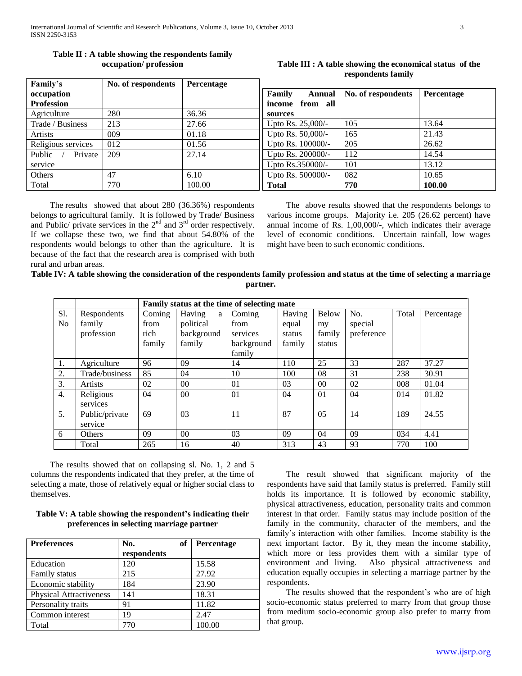| Family's           | No. of respondents | Percentage |                    |                    |                   |
|--------------------|--------------------|------------|--------------------|--------------------|-------------------|
| occupation         |                    |            | Family<br>Annual   | No. of respondents | <b>Percentage</b> |
| <b>Profession</b>  |                    |            | from all<br>income |                    |                   |
| Agriculture        | 280                | 36.36      | sources            |                    |                   |
| Trade / Business   | 213                | 27.66      | Upto Rs. 25,000/-  | 105                | 13.64             |
| Artists            | 009                | 01.18      | Upto Rs. 50,000/-  | 165                | 21.43             |
| Religious services | 012                | 01.56      | Upto Rs. 100000/-  | 205                | 26.62             |
| Private<br>Public  | 209                | 27.14      | Upto Rs. 200000/-  | 112                | 14.54             |
| service            |                    |            | Upto Rs.350000/-   | 101                | 13.12             |
| Others             | 47                 | 6.10       | Upto Rs. 500000/-  | 082                | 10.65             |
| Total              | 770                | 100.00     | <b>Total</b>       | 770                | 100.00            |

# **Table II : A table showing the respondents family occupation/ profession**

 The results showed that about 280 (36.36%) respondents belongs to agricultural family. It is followed by Trade/ Business and Public/ private services in the  $2<sup>nd</sup>$  and  $3<sup>rd</sup>$  order respectively. If we collapse these two, we find that about 54.80% of the respondents would belongs to other than the agriculture. It is because of the fact that the research area is comprised with both rural and urban areas.

## The above results showed that the respondents belongs to various income groups. Majority i.e. 205 (26.62 percent) have annual income of Rs. 1,00,000/-, which indicates their average level of economic conditions. Uncertain rainfall, low wages might have been to such economic conditions.

**Table III : A table showing the economical status of the respondents family**

# **Table IV: A table showing the consideration of the respondents family profession and status at the time of selecting a marriage partner.**

|                |                | Family status at the time of selecting mate |                |            |        |                |            |       |            |
|----------------|----------------|---------------------------------------------|----------------|------------|--------|----------------|------------|-------|------------|
| S1.            | Respondents    | Coming                                      | Having<br>a    | Coming     | Having | Below          | No.        | Total | Percentage |
| N <sub>0</sub> | family         | from                                        | political      | from       | equal  | my             | special    |       |            |
|                | profession     | rich                                        | background     | services   | status | family         | preference |       |            |
|                |                | family                                      | family         | background | family | status         |            |       |            |
|                |                |                                             |                | family     |        |                |            |       |            |
| 1.             | Agriculture    | 96                                          | 09             | 14         | 110    | 25             | 33         | 287   | 37.27      |
| 2.             | Trade/business | 85                                          | 04             | 10         | 100    | 08             | 31         | 238   | 30.91      |
| 3.             | <b>Artists</b> | 02                                          | 0 <sup>0</sup> | 01         | 03     | 0 <sup>0</sup> | 02         | 008   | 01.04      |
| 4.             | Religious      | 04                                          | 00             | 01         | 04     | 01             | 04         | 014   | 01.82      |
|                | services       |                                             |                |            |        |                |            |       |            |
| 5.             | Public/private | 69                                          | 03             | 11         | 87     | 05             | 14         | 189   | 24.55      |
|                | service        |                                             |                |            |        |                |            |       |            |
| 6              | Others         | 09                                          | 00             | 03         | 09     | 04             | 09         | 034   | 4.41       |
|                | Total          | 265                                         | 16             | 40         | 313    | 43             | 93         | 770   | 100        |

 The results showed that on collapsing sl. No. 1, 2 and 5 columns the respondents indicated that they prefer, at the time of selecting a mate, those of relatively equal or higher social class to themselves.

# **Table V: A table showing the respondent's indicating their preferences in selecting marriage partner**

| <b>Preferences</b>             | No.<br>of   | Percentage |
|--------------------------------|-------------|------------|
|                                | respondents |            |
| Education                      | 120         | 15.58      |
| Family status                  | 215         | 27.92      |
| Economic stability             | 184         | 23.90      |
| <b>Physical Attractiveness</b> | 141         | 18.31      |
| Personality traits             | 91          | 11.82      |
| Common interest                | 19          | 2.47       |
| Total                          | 770         | 100.00     |

 The result showed that significant majority of the respondents have said that family status is preferred. Family still holds its importance. It is followed by economic stability, physical attractiveness, education, personality traits and common interest in that order. Family status may include position of the family in the community, character of the members, and the family's interaction with other families. Income stability is the next important factor. By it, they mean the income stability, which more or less provides them with a similar type of environment and living. Also physical attractiveness and education equally occupies in selecting a marriage partner by the respondents.

 The results showed that the respondent's who are of high socio-economic status preferred to marry from that group those from medium socio-economic group also prefer to marry from that group.